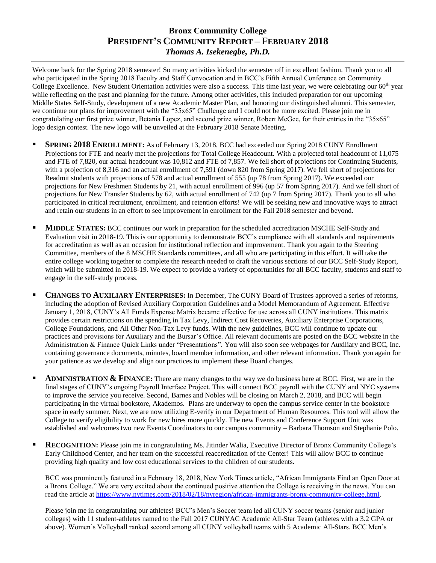## **Bronx Community College PRESIDENT'S COMMUNITY REPORT – FEBRUARY 2018** *Thomas A. Isekenegbe, Ph.D.*

Welcome back for the Spring 2018 semester! So many activities kicked the semester off in excellent fashion. Thank you to all who participated in the Spring 2018 Faculty and Staff Convocation and in BCC's Fifth Annual Conference on Community College Excellence. New Student Orientation activities were also a success. This time last year, we were celebrating our  $60<sup>th</sup>$  year while reflecting on the past and planning for the future. Among other activities, this included preparation for our upcoming Middle States Self-Study, development of a new Academic Master Plan, and honoring our distinguished alumni. This semester, we continue our plans for improvement with the "35x65" Challenge and I could not be more excited. Please join me in congratulating our first prize winner, Betania Lopez, and second prize winner, Robert McGee, for their entries in the "35x65" logo design contest. The new logo will be unveiled at the February 2018 Senate Meeting.

- **SPRING 2018 ENROLLMENT:** As of February 13, 2018, BCC had exceeded our Spring 2018 CUNY Enrollment Projections for FTE and nearly met the projections for Total College Headcount. With a projected total headcount of 11,075 and FTE of 7,820, our actual headcount was 10,812 and FTE of 7,857. We fell short of projections for Continuing Students, with a projection of 8,316 and an actual enrollment of 7,591 (down 820 from Spring 2017). We fell short of projections for Readmit students with projections of 578 and actual enrollment of 555 (up 78 from Spring 2017). We exceeded our projections for New Freshmen Students by 21, with actual enrollment of 996 (up 57 from Spring 2017). And we fell short of projections for New Transfer Students by 62, with actual enrollment of 742 (up 7 from Spring 2017). Thank you to all who participated in critical recruitment, enrollment, and retention efforts! We will be seeking new and innovative ways to attract and retain our students in an effort to see improvement in enrollment for the Fall 2018 semester and beyond.
- **MIDDLE <b>STATES**: BCC continues our work in preparation for the scheduled accreditation MSCHE Self-Study and Evaluation visit in 2018-19. This is our opportunity to demonstrate BCC's compliance with all standards and requirements for accreditation as well as an occasion for institutional reflection and improvement. Thank you again to the Steering Committee, members of the 8 MSCHE Standards committees, and all who are participating in this effort. It will take the entire college working together to complete the research needed to draft the various sections of our BCC Self-Study Report, which will be submitted in 2018-19. We expect to provide a variety of opportunities for all BCC faculty, students and staff to engage in the self-study process.
- **CHANGES TO AUXILIARY ENTERPRISES:** In December, The CUNY Board of Trustees approved a series of reforms, including the adoption of Revised Auxiliary Corporation Guidelines and a Model Memorandum of Agreement. Effective January 1, 2018, CUNY's All Funds Expense Matrix became effective for use across all CUNY institutions. This matrix provides certain restrictions on the spending in Tax Levy, Indirect Cost Recoveries, Auxiliary Enterprise Corporations, College Foundations, and All Other Non-Tax Levy funds. With the new guidelines, BCC will continue to update our practices and provisions for Auxiliary and the Bursar's Office. All relevant documents are posted on the BCC website in the Administration & Finance Quick Links under "Presentations". You will also soon see webpages for Auxiliary and BCC, Inc. containing governance documents, minutes, board member information, and other relevant information. Thank you again for your patience as we develop and align our practices to implement these Board changes.
- **ADMINISTRATION & FINANCE:** There are many changes to the way we do business here at BCC. First, we are in the final stages of CUNY's ongoing Payroll Interface Project. This will connect BCC payroll with the CUNY and NYC systems to improve the service you receive. Second, Barnes and Nobles will be closing on March 2, 2018, and BCC will begin participating in the virtual bookstore, Akademos. Plans are underway to open the campus service center in the bookstore space in early summer. Next, we are now utilizing E-verify in our Department of Human Resources. This tool will allow the College to verify eligibility to work for new hires more quickly. The new Events and Conference Support Unit was established and welcomes two new Events Coordinators to our campus community – Barbara Thomson and Stephanie Polo.
- **RECOGNITION:** Please join me in congratulating Ms. Jitinder Walia, Executive Director of Bronx Community College's Early Childhood Center, and her team on the successful reaccreditation of the Center! This will allow BCC to continue providing high quality and low cost educational services to the children of our students.

BCC was prominently featured in a February 18, 2018, New York Times article, "African Immigrants Find an Open Door at a Bronx College." We are very excited about the continued positive attention the College is receiving in the news. You can read the article at [https://www.nytimes.com/2018/02/18/nyregion/african-immigrants-bronx-community-college.html.](https://www.nytimes.com/2018/02/18/nyregion/african-immigrants-bronx-community-college.html)

Please join me in congratulating our athletes! BCC's Men's Soccer team led all CUNY soccer teams (senior and junior colleges) with 11 student-athletes named to the Fall 2017 CUNYAC Academic All-Star Team (athletes with a 3.2 GPA or above). Women's Volleyball ranked second among all CUNY volleyball teams with 5 Academic All-Stars. BCC Men's